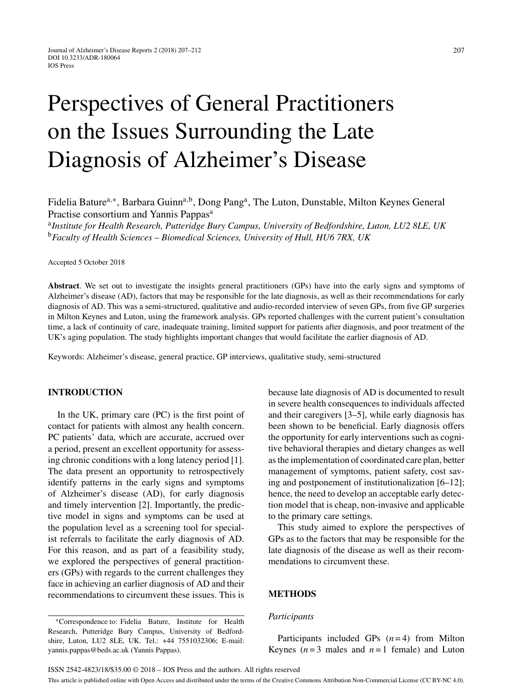# Perspectives of General Practitioners on the Issues Surrounding the Late Diagnosis of Alzheimer's Disease

Fidelia Bature<sup>a,∗</sup>, Barbara Guinn<sup>a,b</sup>, Dong Pang<sup>a</sup>, The Luton, Dunstable, Milton Keynes General Practise consortium and Yannis Pappas<sup>a</sup>

<sup>a</sup>*Institute for Health Research, Putteridge Bury Campus, University of Bedfordshire, Luton, LU2 8LE, UK* <sup>b</sup>*Faculty of Health Sciences – Biomedical Sciences, University of Hull, HU6 7RX, UK*

Accepted 5 October 2018

**Abstract**. We set out to investigate the insights general practitioners (GPs) have into the early signs and symptoms of Alzheimer's disease (AD), factors that may be responsible for the late diagnosis, as well as their recommendations for early diagnosis of AD. This was a semi-structured, qualitative and audio-recorded interview of seven GPs, from five GP surgeries in Milton Keynes and Luton, using the framework analysis. GPs reported challenges with the current patient's consultation time, a lack of continuity of care, inadequate training, limited support for patients after diagnosis, and poor treatment of the UK's aging population. The study highlights important changes that would facilitate the earlier diagnosis of AD.

Keywords: Alzheimer's disease, general practice, GP interviews, qualitative study, semi-structured

### **INTRODUCTION**

In the UK, primary care (PC) is the first point of contact for patients with almost any health concern. PC patients' data, which are accurate, accrued over a period, present an excellent opportunity for assessing chronic conditions with a long latency period [1]. The data present an opportunity to retrospectively identify patterns in the early signs and symptoms of Alzheimer's disease (AD), for early diagnosis and timely intervention [2]. Importantly, the predictive model in signs and symptoms can be used at the population level as a screening tool for specialist referrals to facilitate the early diagnosis of AD. For this reason, and as part of a feasibility study, we explored the perspectives of general practitioners (GPs) with regards to the current challenges they face in achieving an earlier diagnosis of AD and their recommendations to circumvent these issues. This is

∗Correspondence to: Fidelia Bature, Institute for Health Research, Putteridge Bury Campus, University of Bedfordshire, Luton, LU2 8LE, UK. Tel.: +44 7551032306; E-mail: [yannis.pappas@beds.ac.uk](mailto:yannis.pappas@beds.ac.uk) (Yannis Pappas).

because late diagnosis of AD is documented to result in severe health consequences to individuals affected and their caregivers [3–5], while early diagnosis has been shown to be beneficial. Early diagnosis offers the opportunity for early interventions such as cognitive behavioral therapies and dietary changes as well as the implementation of coordinated care plan, better management of symptoms, patient safety, cost saving and postponement of institutionalization [6–12]; hence, the need to develop an acceptable early detection model that is cheap, non-invasive and applicable to the primary care settings.

This study aimed to explore the perspectives of GPs as to the factors that may be responsible for the late diagnosis of the disease as well as their recommendations to circumvent these.

## **METHODS**

## *Participants*

Participants included GPs (*n* = 4) from Milton Keynes  $(n=3$  males and  $n=1$  female) and Luton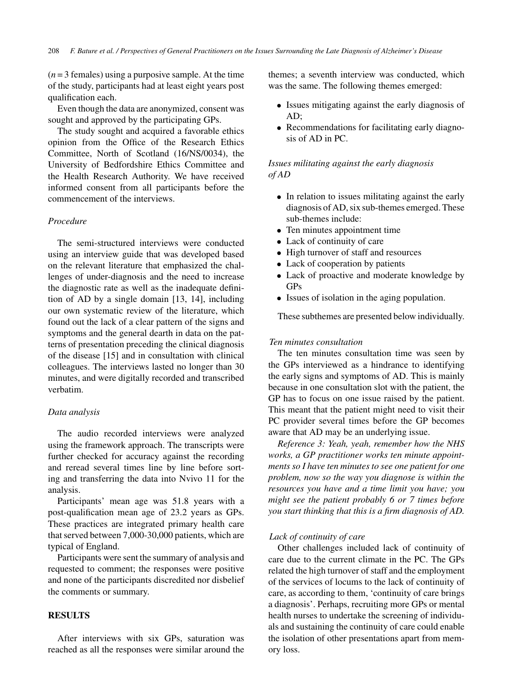$(n=3$  females) using a purposive sample. At the time of the study, participants had at least eight years post qualification each.

Even though the data are anonymized, consent was sought and approved by the participating GPs.

The study sought and acquired a favorable ethics opinion from the Office of the Research Ethics Committee, North of Scotland (16/NS/0034), the University of Bedfordshire Ethics Committee and the Health Research Authority. We have received informed consent from all participants before the commencement of the interviews.

## *Procedure*

The semi-structured interviews were conducted using an interview guide that was developed based on the relevant literature that emphasized the challenges of under-diagnosis and the need to increase the diagnostic rate as well as the inadequate definition of AD by a single domain [13, 14], including our own systematic review of the literature, which found out the lack of a clear pattern of the signs and symptoms and the general dearth in data on the patterns of presentation preceding the clinical diagnosis of the disease [15] and in consultation with clinical colleagues. The interviews lasted no longer than 30 minutes, and were digitally recorded and transcribed verbatim.

## *Data analysis*

The audio recorded interviews were analyzed using the framework approach. The transcripts were further checked for accuracy against the recording and reread several times line by line before sorting and transferring the data into Nvivo 11 for the analysis.

Participants' mean age was 51.8 years with a post-qualification mean age of 23.2 years as GPs. These practices are integrated primary health care that served between 7,000-30,000 patients, which are typical of England.

Participants were sent the summary of analysis and requested to comment; the responses were positive and none of the participants discredited nor disbelief the comments or summary.

## **RESULTS**

After interviews with six GPs, saturation was reached as all the responses were similar around the themes; a seventh interview was conducted, which was the same. The following themes emerged:

- Issues mitigating against the early diagnosis of AD;
- Recommendations for facilitating early diagnosis of AD in PC.

# *Issues militating against the early diagnosis of AD*

- In relation to issues militating against the early diagnosis of AD, six sub-themes emerged. These sub-themes include:
- Ten minutes appointment time
- Lack of continuity of care
- High turnover of staff and resources
- Lack of cooperation by patients
- Lack of proactive and moderate knowledge by GPs
- Issues of isolation in the aging population.

These subthemes are presented below individually.

## *Ten minutes consultation*

The ten minutes consultation time was seen by the GPs interviewed as a hindrance to identifying the early signs and symptoms of AD. This is mainly because in one consultation slot with the patient, the GP has to focus on one issue raised by the patient. This meant that the patient might need to visit their PC provider several times before the GP becomes aware that AD may be an underlying issue.

*Reference 3: Yeah, yeah, remember how the NHS works, a GP practitioner works ten minute appointments so I have ten minutes to see one patient for one problem, now so the way you diagnose is within the resources you have and a time limit you have; you might see the patient probably 6 or 7 times before you start thinking that this is a firm diagnosis of AD.*

## *Lack of continuity of care*

Other challenges included lack of continuity of care due to the current climate in the PC. The GPs related the high turnover of staff and the employment of the services of locums to the lack of continuity of care, as according to them, 'continuity of care brings a diagnosis'. Perhaps, recruiting more GPs or mental health nurses to undertake the screening of individuals and sustaining the continuity of care could enable the isolation of other presentations apart from memory loss.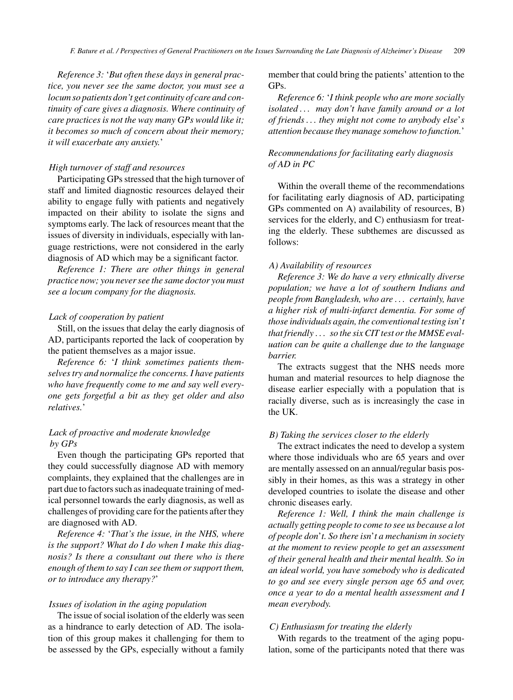*Reference 3:* '*But often these days in general practice, you never see the same doctor, you must see a locum so patients don't get continuity of care and continuity of care gives a diagnosis. Where continuity of care practices is not the way many GPs would like it; it becomes so much of concern about their memory; it will exacerbate any anxiety.*'

## *High turnover of staff and resources*

Participating GPs stressed that the high turnover of staff and limited diagnostic resources delayed their ability to engage fully with patients and negatively impacted on their ability to isolate the signs and symptoms early. The lack of resources meant that the issues of diversity in individuals, especially with language restrictions, were not considered in the early diagnosis of AD which may be a significant factor.

*Reference 1: There are other things in general practice now; you never see the same doctor you must see a locum company for the diagnosis.*

#### *Lack of cooperation by patient*

Still, on the issues that delay the early diagnosis of AD, participants reported the lack of cooperation by the patient themselves as a major issue.

*Reference 6:* '*I think sometimes patients themselves try and normalize the concerns. I have patients who have frequently come to me and say well everyone gets forgetful a bit as they get older and also relatives.*'

## *Lack of proactive and moderate knowledge by GPs*

Even though the participating GPs reported that they could successfully diagnose AD with memory complaints, they explained that the challenges are in part due to factors such as inadequate training of medical personnel towards the early diagnosis, as well as challenges of providing care for the patients after they are diagnosed with AD.

*Reference 4:* '*That's the issue, in the NHS, where is the support? What do I do when I make this diagnosis? Is there a consultant out there who is there enough of them to say I can see them or support them, or to introduce any therapy?*'

#### *Issues of isolation in the aging population*

The issue of social isolation of the elderly was seen as a hindrance to early detection of AD. The isolation of this group makes it challenging for them to be assessed by the GPs, especially without a family member that could bring the patients' attention to the GPs.

*Reference 6:* '*I think people who are more socially isolated* ... *may don't have family around or a lot of friends*... *they might not come to anybody else*'*s attention because they manage somehow to function.*'

## *Recommendations for facilitating early diagnosis of AD in PC*

Within the overall theme of the recommendations for facilitating early diagnosis of AD, participating GPs commented on A) availability of resources, B) services for the elderly, and C) enthusiasm for treating the elderly. These subthemes are discussed as follows:

## *A) Availability of resources*

*Reference 3: We do have a very ethnically diverse population; we have a lot of southern Indians and people from Bangladesh, who are* ... *certainly, have a higher risk of multi-infarct dementia. For some of those individuals again, the conventional testing isn*'*t that friendly* ... *so the six CIT test or the MMSE evaluation can be quite a challenge due to the language barrier.*

The extracts suggest that the NHS needs more human and material resources to help diagnose the disease earlier especially with a population that is racially diverse, such as is increasingly the case in the UK.

#### *B) Taking the services closer to the elderly*

The extract indicates the need to develop a system where those individuals who are 65 years and over are mentally assessed on an annual/regular basis possibly in their homes, as this was a strategy in other developed countries to isolate the disease and other chronic diseases early.

*Reference 1: Well, I think the main challenge is actually getting people to come to see us because a lot of people don*'*t. So there isn*'*t a mechanism in society at the moment to review people to get an assessment of their general health and their mental health. So in an ideal world, you have somebody who is dedicated to go and see every single person age 65 and over, once a year to do a mental health assessment and I mean everybody.*

## *C) Enthusiasm for treating the elderly*

With regards to the treatment of the aging population, some of the participants noted that there was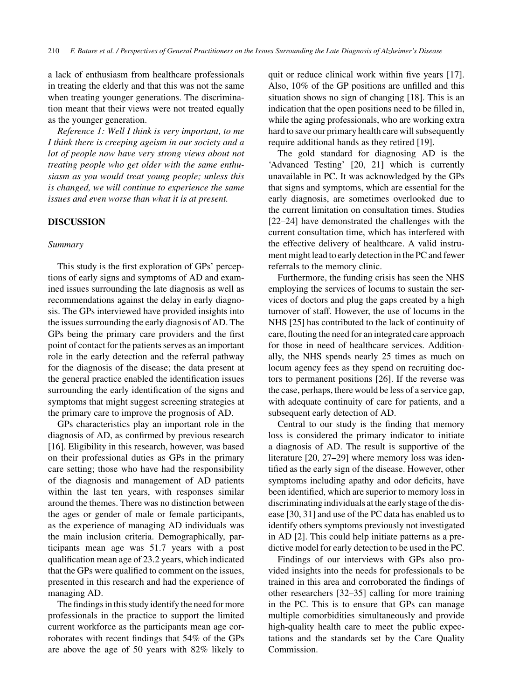a lack of enthusiasm from healthcare professionals in treating the elderly and that this was not the same when treating younger generations. The discrimination meant that their views were not treated equally as the younger generation.

*Reference 1: Well I think is very important, to me I think there is creeping ageism in our society and a lot of people now have very strong views about not treating people who get older with the same enthusiasm as you would treat young people; unless this is changed, we will continue to experience the same issues and even worse than what it is at present.*

## **DISCUSSION**

## *Summary*

This study is the first exploration of GPs' perceptions of early signs and symptoms of AD and examined issues surrounding the late diagnosis as well as recommendations against the delay in early diagnosis. The GPs interviewed have provided insights into the issues surrounding the early diagnosis of AD. The GPs being the primary care providers and the first point of contact for the patients serves as an important role in the early detection and the referral pathway for the diagnosis of the disease; the data present at the general practice enabled the identification issues surrounding the early identification of the signs and symptoms that might suggest screening strategies at the primary care to improve the prognosis of AD.

GPs characteristics play an important role in the diagnosis of AD, as confirmed by previous research [16]. Eligibility in this research, however, was based on their professional duties as GPs in the primary care setting; those who have had the responsibility of the diagnosis and management of AD patients within the last ten years, with responses similar around the themes. There was no distinction between the ages or gender of male or female participants, as the experience of managing AD individuals was the main inclusion criteria. Demographically, participants mean age was 51.7 years with a post qualification mean age of 23.2 years, which indicated that the GPs were qualified to comment on the issues, presented in this research and had the experience of managing AD.

The findings in this study identify the need for more professionals in the practice to support the limited current workforce as the participants mean age corroborates with recent findings that 54% of the GPs are above the age of 50 years with 82% likely to quit or reduce clinical work within five years [17]. Also, 10% of the GP positions are unfilled and this situation shows no sign of changing [18]. This is an indication that the open positions need to be filled in, while the aging professionals, who are working extra hard to save our primary health care will subsequently require additional hands as they retired [19].

The gold standard for diagnosing AD is the 'Advanced Testing' [20, 21] which is currently unavailable in PC. It was acknowledged by the GPs that signs and symptoms, which are essential for the early diagnosis, are sometimes overlooked due to the current limitation on consultation times. Studies [22–24] have demonstrated the challenges with the current consultation time, which has interfered with the effective delivery of healthcare. A valid instrument might lead to early detection in the PC and fewer referrals to the memory clinic.

Furthermore, the funding crisis has seen the NHS employing the services of locums to sustain the services of doctors and plug the gaps created by a high turnover of staff. However, the use of locums in the NHS [25] has contributed to the lack of continuity of care, flouting the need for an integrated care approach for those in need of healthcare services. Additionally, the NHS spends nearly 25 times as much on locum agency fees as they spend on recruiting doctors to permanent positions [26]. If the reverse was the case, perhaps, there would be less of a service gap, with adequate continuity of care for patients, and a subsequent early detection of AD.

Central to our study is the finding that memory loss is considered the primary indicator to initiate a diagnosis of AD. The result is supportive of the literature [20, 27–29] where memory loss was identified as the early sign of the disease. However, other symptoms including apathy and odor deficits, have been identified, which are superior to memory loss in discriminating individuals at the early stage of the disease [30, 31] and use of the PC data has enabled us to identify others symptoms previously not investigated in AD [2]. This could help initiate patterns as a predictive model for early detection to be used in the PC.

Findings of our interviews with GPs also provided insights into the needs for professionals to be trained in this area and corroborated the findings of other researchers [32–35] calling for more training in the PC. This is to ensure that GPs can manage multiple comorbidities simultaneously and provide high-quality health care to meet the public expectations and the standards set by the Care Quality Commission.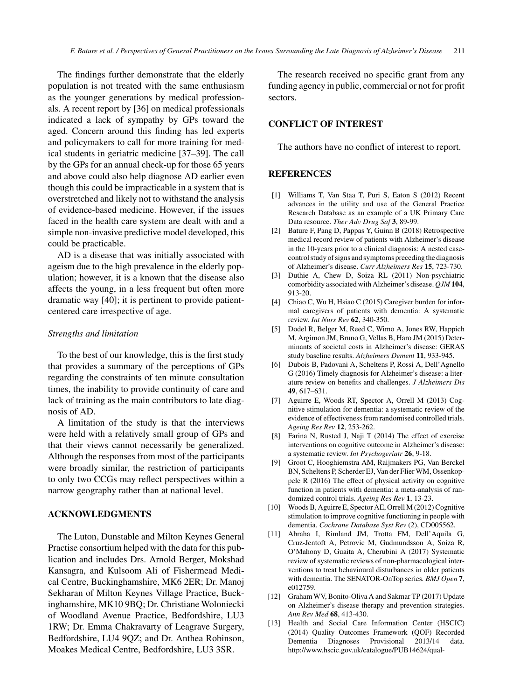The findings further demonstrate that the elderly population is not treated with the same enthusiasm as the younger generations by medical professionals. A recent report by [36] on medical professionals indicated a lack of sympathy by GPs toward the aged. Concern around this finding has led experts and policymakers to call for more training for medical students in geriatric medicine [37–39]. The call by the GPs for an annual check-up for those 65 years and above could also help diagnose AD earlier even though this could be impracticable in a system that is overstretched and likely not to withstand the analysis of evidence-based medicine. However, if the issues faced in the health care system are dealt with and a simple non-invasive predictive model developed, this could be practicable.

AD is a disease that was initially associated with ageism due to the high prevalence in the elderly population; however, it is a known that the disease also affects the young, in a less frequent but often more dramatic way [40]; it is pertinent to provide patientcentered care irrespective of age.

#### *Strengths and limitation*

To the best of our knowledge, this is the first study that provides a summary of the perceptions of GPs regarding the constraints of ten minute consultation times, the inability to provide continuity of care and lack of training as the main contributors to late diagnosis of AD.

A limitation of the study is that the interviews were held with a relatively small group of GPs and that their views cannot necessarily be generalized. Although the responses from most of the participants were broadly similar, the restriction of participants to only two CCGs may reflect perspectives within a narrow geography rather than at national level.

# **ACKNOWLEDGMENTS**

The Luton, Dunstable and Milton Keynes General Practise consortium helped with the data for this publication and includes Drs. Arnold Berger, Mokshad Kansagra, and Kulsoom Ali of Fishermead Medical Centre, Buckinghamshire, MK6 2ER; Dr. Manoj Sekharan of Milton Keynes Village Practice, Buckinghamshire, MK10 9BQ; Dr. Christiane Woloniecki of Woodland Avenue Practice, Bedfordshire, LU3 1RW; Dr. Emma Chakravarty of Leagrave Surgery, Bedfordshire, LU4 9QZ; and Dr. Anthea Robinson, Moakes Medical Centre, Bedfordshire, LU3 3SR.

The research received no specific grant from any funding agency in public, commercial or not for profit sectors.

## **CONFLICT OF INTEREST**

The authors have no conflict of interest to report.

## **REFERENCES**

- [1] Williams T, Van Staa T, Puri S, Eaton S (2012) Recent advances in the utility and use of the General Practice Research Database as an example of a UK Primary Care Data resource. *Ther Adv Drug Saf* **3**, 89-99.
- [2] Bature F, Pang D, Pappas Y, Guinn B (2018) Retrospective medical record review of patients with Alzheimer's disease in the 10-years prior to a clinical diagnosis: A nested casecontrol study of signs and symptoms preceding the diagnosis of Alzheimer's disease. *Curr Alzheimers Res* **15**, 723-730.
- [3] Duthie A, Chew D, Soiza RL (2011) Non-psychiatric comorbidity associated with Alzheimer's disease. *QJM* **104**, 913-20.
- [4] Chiao C, Wu H, Hsiao C (2015) Caregiver burden for informal caregivers of patients with dementia: A systematic review. *Int Nurs Rev* **62**, 340-350.
- [5] Dodel R, Belger M, Reed C, Wimo A, Jones RW, Happich M, Argimon JM, Bruno G, Vellas B, Haro JM (2015) Determinants of societal costs in Alzheimer's disease: GERAS study baseline results. *Alzheimers Dement* **11**, 933-945.
- [6] Dubois B, Padovani A, Scheltens P, Rossi A, Dell'Agnello G (2016) Timely diagnosis for Alzheimer's disease: a literature review on benefits and challenges. *J Alzheimers Dis* **49**, 617–631.
- [7] Aguirre E, Woods RT, Spector A, Orrell M (2013) Cognitive stimulation for dementia: a systematic review of the evidence of effectiveness from randomised controlled trials. *Ageing Res Rev* **12**, 253-262.
- [8] Farina N, Rusted J, Naji T (2014) The effect of exercise interventions on cognitive outcome in Alzheimer's disease: a systematic review. *Int Psychogeriatr* **26**, 9-18.
- [9] Groot C, Hooghiemstra AM, Raijmakers PG, Van Berckel BN, Scheltens P, Scherder EJ, Van der Flier WM, Ossenkoppele R (2016) The effect of physical activity on cognitive function in patients with dementia: a meta-analysis of randomized control trials. *Ageing Res Rev* **1**, 13-23.
- [10] Woods B, Aguirre E, Spector AE, Orrell M (2012) Cognitive stimulation to improve cognitive functioning in people with dementia. *Cochrane Database Syst Rev* (2), CD005562.
- [11] Abraha I, Rimland JM, Trotta FM, Dell'Aquila G, Cruz-Jentoft A, Petrovic M, Gudmundsson A, Soiza R, O'Mahony D, Guaita A, Cherubini A (2017) Systematic review of systematic reviews of non-pharmacological interventions to treat behavioural disturbances in older patients with dementia. The SENATOR-OnTop series*. BMJ Open* **7**, e012759.
- [12] Graham WV, Bonito-Oliva A and Sakmar TP (2017) Update on Alzheimer's disease therapy and prevention strategies. *Ann Rev Med* **68**, 413-430.
- [13] Health and Social Care Information Center (HSCIC) (2014) Quality Outcomes Framework (QOF) Recorded Dementia Diagnoses Provisional 2013/14 data. http://www.hscic.gov.uk/catalogue/PUB14624/qual-